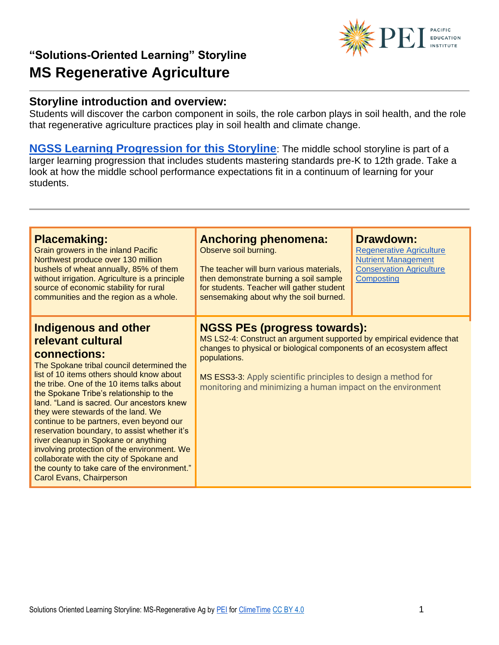# PACIFIC<br>DEDUCATION

# **"Solutions-Oriented Learning" Storyline MS Regenerative Agriculture**

### **Storyline introduction and overview:**

Students will discover the carbon component in soils, the role carbon plays in soil health, and the role that regenerative agriculture practices play in soil health and climate change.

**[NGSS Learning Progression for this Storyline](https://pacificeductioninstitute.sharepoint.com/:x:/s/Program/EQ6jx72eybpMoG6LAwvMxSIBOk8hoF2Tlk827quJB_Kg0g?e=LAqykm)**: The middle school storyline is part of a larger learning progression that includes students mastering standards pre-K to 12th grade. Take a look at how the middle school performance expectations fit in a continuum of learning for your students.

| <b>Placemaking:</b><br>Grain growers in the inland Pacific<br>Northwest produce over 130 million<br>bushels of wheat annually, 85% of them<br>without irrigation. Agriculture is a principle<br>source of economic stability for rural<br>communities and the region as a whole.                                                                                                                                                                                                                                                                                                                                                                         | <b>Anchoring phenomena:</b><br>Observe soil burning.<br>The teacher will burn various materials,<br>then demonstrate burning a soil sample<br>for students. Teacher will gather student<br>sensemaking about why the soil burned.                                                                                                  | <b>Drawdown:</b><br><b>Regenerative Agriculture</b><br><b>Nutrient Management</b><br><b>Conservation Agriculture</b><br>Composting |
|----------------------------------------------------------------------------------------------------------------------------------------------------------------------------------------------------------------------------------------------------------------------------------------------------------------------------------------------------------------------------------------------------------------------------------------------------------------------------------------------------------------------------------------------------------------------------------------------------------------------------------------------------------|------------------------------------------------------------------------------------------------------------------------------------------------------------------------------------------------------------------------------------------------------------------------------------------------------------------------------------|------------------------------------------------------------------------------------------------------------------------------------|
| <b>Indigenous and other</b><br>relevant cultural<br>connections:<br>The Spokane tribal council determined the<br>list of 10 items others should know about<br>the tribe. One of the 10 items talks about<br>the Spokane Tribe's relationship to the<br>land. "Land is sacred. Our ancestors knew<br>they were stewards of the land. We<br>continue to be partners, even beyond our<br>reservation boundary, to assist whether it's<br>river cleanup in Spokane or anything<br>involving protection of the environment. We<br>collaborate with the city of Spokane and<br>the county to take care of the environment."<br><b>Carol Evans, Chairperson</b> | <b>NGSS PEs (progress towards):</b><br>MS LS2-4: Construct an argument supported by empirical evidence that<br>changes to physical or biological components of an ecosystem affect<br>populations.<br>MS ESS3-3: Apply scientific principles to design a method for<br>monitoring and minimizing a human impact on the environment |                                                                                                                                    |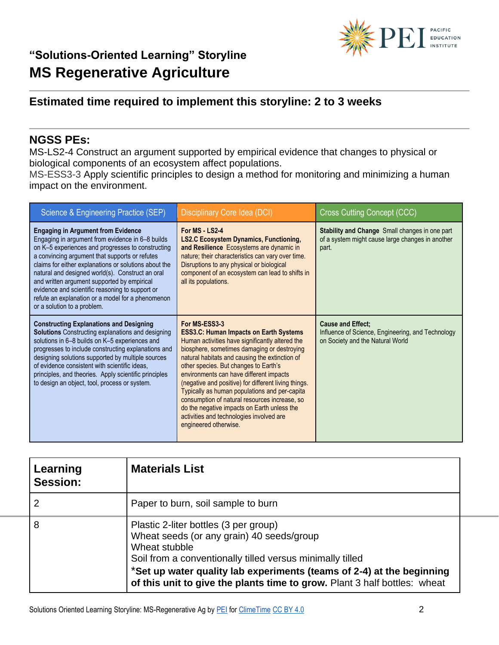## **Estimated time required to implement this storyline: 2 to 3 weeks**

## **NGSS PEs:**

MS-LS2-4 Construct an argument supported by empirical evidence that changes to physical or biological components of an ecosystem affect populations.

MS-ESS3-3 Apply scientific principles to design a method for monitoring and minimizing a human impact on the environment.

| Science & Engineering Practice (SEP)                                                                                                                                                                                                                                                                                                                                                                                                                                                                    | Disciplinary Core Idea (DCI)                                                                                                                                                                                                                                                                                                                                                                                                                                                                                                                                                         | <b>Cross Cutting Concept (CCC)</b>                                                                                 |
|---------------------------------------------------------------------------------------------------------------------------------------------------------------------------------------------------------------------------------------------------------------------------------------------------------------------------------------------------------------------------------------------------------------------------------------------------------------------------------------------------------|--------------------------------------------------------------------------------------------------------------------------------------------------------------------------------------------------------------------------------------------------------------------------------------------------------------------------------------------------------------------------------------------------------------------------------------------------------------------------------------------------------------------------------------------------------------------------------------|--------------------------------------------------------------------------------------------------------------------|
| <b>Engaging in Argument from Evidence</b><br>Engaging in argument from evidence in 6-8 builds<br>on K-5 experiences and progresses to constructing<br>a convincing argument that supports or refutes<br>claims for either explanations or solutions about the<br>natural and designed world(s). Construct an oral<br>and written argument supported by empirical<br>evidence and scientific reasoning to support or<br>refute an explanation or a model for a phenomenon<br>or a solution to a problem. | For MS - LS2-4<br><b>LS2.C Ecosystem Dynamics, Functioning,</b><br>and Resilience Ecosystems are dynamic in<br>nature; their characteristics can vary over time.<br>Disruptions to any physical or biological<br>component of an ecosystem can lead to shifts in<br>all its populations.                                                                                                                                                                                                                                                                                             | <b>Stability and Change</b> Small changes in one part<br>of a system might cause large changes in another<br>part. |
| <b>Constructing Explanations and Designing</b><br><b>Solutions</b> Constructing explanations and designing<br>solutions in 6-8 builds on K-5 experiences and<br>progresses to include constructing explanations and<br>designing solutions supported by multiple sources<br>of evidence consistent with scientific ideas.<br>principles, and theories. Apply scientific principles<br>to design an object, tool, process or system.                                                                     | For MS-ESS3-3<br><b>ESS3.C: Human Impacts on Earth Systems</b><br>Human activities have significantly altered the<br>biosphere, sometimes damaging or destroying<br>natural habitats and causing the extinction of<br>other species. But changes to Earth's<br>environments can have different impacts<br>(negative and positive) for different living things.<br>Typically as human populations and per-capita<br>consumption of natural resources increase, so<br>do the negative impacts on Earth unless the<br>activities and technologies involved are<br>engineered otherwise. | <b>Cause and Effect:</b><br>Influence of Science, Engineering, and Technology<br>on Society and the Natural World  |

| Learning<br>Session: | <b>Materials List</b>                                                                                                                                                                                                                                                                                                  |  |
|----------------------|------------------------------------------------------------------------------------------------------------------------------------------------------------------------------------------------------------------------------------------------------------------------------------------------------------------------|--|
|                      | Paper to burn, soil sample to burn                                                                                                                                                                                                                                                                                     |  |
| 8                    | Plastic 2-liter bottles (3 per group)<br>Wheat seeds (or any grain) 40 seeds/group<br>Wheat stubble<br>Soil from a conventionally tilled versus minimally tilled<br>*Set up water quality lab experiments (teams of 2-4) at the beginning<br>of this unit to give the plants time to grow. Plant 3 half bottles: wheat |  |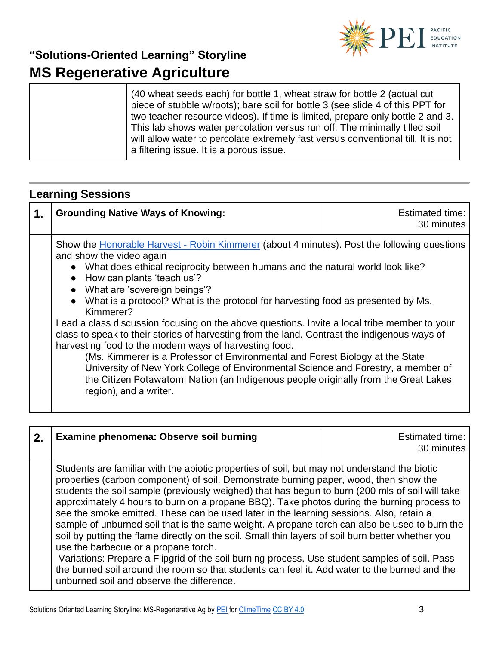

| (40 wheat seeds each) for bottle 1, wheat straw for bottle 2 (actual cut)<br>piece of stubble w/roots); bare soil for bottle 3 (see slide 4 of this PPT for<br>two teacher resource videos). If time is limited, prepare only bottle 2 and 3.<br>This lab shows water percolation versus run off. The minimally tilled soil |
|-----------------------------------------------------------------------------------------------------------------------------------------------------------------------------------------------------------------------------------------------------------------------------------------------------------------------------|
| will allow water to percolate extremely fast versus conventional till. It is not<br>a filtering issue. It is a porous issue.                                                                                                                                                                                                |

## **Learning Sessions**

| 1. | <b>Grounding Native Ways of Knowing:</b>                                                                                                                                                                                                                                                                                                                                                                                                                                                                                                                                                                                                                                                                                                                                                                                                                                                                                         | <b>Estimated time:</b><br>30 minutes |
|----|----------------------------------------------------------------------------------------------------------------------------------------------------------------------------------------------------------------------------------------------------------------------------------------------------------------------------------------------------------------------------------------------------------------------------------------------------------------------------------------------------------------------------------------------------------------------------------------------------------------------------------------------------------------------------------------------------------------------------------------------------------------------------------------------------------------------------------------------------------------------------------------------------------------------------------|--------------------------------------|
|    | Show the Honorable Harvest - Robin Kimmerer (about 4 minutes). Post the following questions<br>and show the video again<br>• What does ethical reciprocity between humans and the natural world look like?<br>• How can plants 'teach us'?<br>• What are 'sovereign beings'?<br>• What is a protocol? What is the protocol for harvesting food as presented by Ms.<br>Kimmerer?<br>Lead a class discussion focusing on the above questions. Invite a local tribe member to your<br>class to speak to their stories of harvesting from the land. Contrast the indigenous ways of<br>harvesting food to the modern ways of harvesting food.<br>(Ms. Kimmerer is a Professor of Environmental and Forest Biology at the State<br>University of New York College of Environmental Science and Forestry, a member of<br>the Citizen Potawatomi Nation (an Indigenous people originally from the Great Lakes<br>region), and a writer. |                                      |

| 2. | Examine phenomena: Observe soil burning                                                                                                                                                                                                                                                                                                                                                                                                                                                                                                                                                                                                                                                                                                                                                                                                                                                                                                                                        | <b>Estimated time:</b><br>30 minutes |
|----|--------------------------------------------------------------------------------------------------------------------------------------------------------------------------------------------------------------------------------------------------------------------------------------------------------------------------------------------------------------------------------------------------------------------------------------------------------------------------------------------------------------------------------------------------------------------------------------------------------------------------------------------------------------------------------------------------------------------------------------------------------------------------------------------------------------------------------------------------------------------------------------------------------------------------------------------------------------------------------|--------------------------------------|
|    | Students are familiar with the abiotic properties of soil, but may not understand the biotic<br>properties (carbon component) of soil. Demonstrate burning paper, wood, then show the<br>students the soil sample (previously weighed) that has begun to burn (200 mls of soil will take<br>approximately 4 hours to burn on a propane BBQ). Take photos during the burning process to<br>see the smoke emitted. These can be used later in the learning sessions. Also, retain a<br>sample of unburned soil that is the same weight. A propane torch can also be used to burn the<br>soil by putting the flame directly on the soil. Small thin layers of soil burn better whether you<br>use the barbecue or a propane torch.<br>Variations: Prepare a Flipgrid of the soil burning process. Use student samples of soil. Pass<br>the burned soil around the room so that students can feel it. Add water to the burned and the<br>unburned soil and observe the difference. |                                      |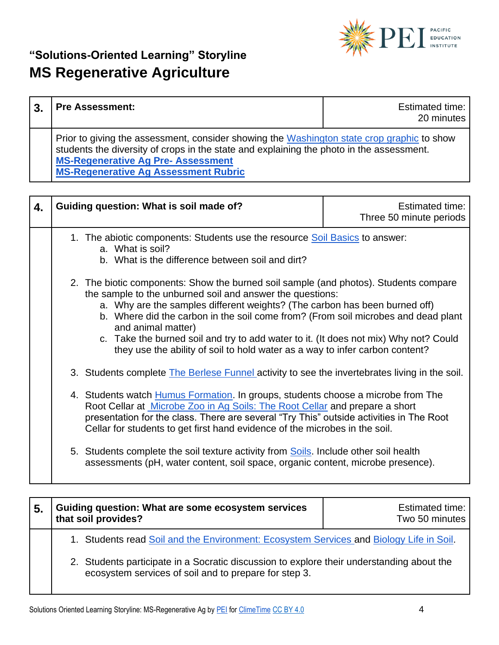

| <b>Pre Assessment:</b>                                                                                                                                                                                                                                                            | Estimated time:<br>20 minutes |
|-----------------------------------------------------------------------------------------------------------------------------------------------------------------------------------------------------------------------------------------------------------------------------------|-------------------------------|
| Prior to giving the assessment, consider showing the Washington state crop graphic to show<br>students the diversity of crops in the state and explaining the photo in the assessment.<br><b>MS-Regenerative Ag Pre-Assessment</b><br><b>MS-Regenerative Ag Assessment Rubric</b> |                               |

| 4. | Guiding question: What is soil made of?                                                                                                                                                                                                                                                                                                                                                                                                                                                                                                                                                                             | Estimated time:<br>Three 50 minute periods |
|----|---------------------------------------------------------------------------------------------------------------------------------------------------------------------------------------------------------------------------------------------------------------------------------------------------------------------------------------------------------------------------------------------------------------------------------------------------------------------------------------------------------------------------------------------------------------------------------------------------------------------|--------------------------------------------|
|    | 1. The abiotic components: Students use the resource Soil Basics to answer:<br>a. What is soil?<br>b. What is the difference between soil and dirt?                                                                                                                                                                                                                                                                                                                                                                                                                                                                 |                                            |
|    | 2. The biotic components: Show the burned soil sample (and photos). Students compare<br>the sample to the unburned soil and answer the questions:<br>a. Why are the samples different weights? (The carbon has been burned off)<br>b. Where did the carbon in the soil come from? (From soil microbes and dead plant<br>and animal matter)<br>c. Take the burned soil and try to add water to it. (It does not mix) Why not? Could<br>they use the ability of soil to hold water as a way to infer carbon content?<br>3. Students complete The Berlese Funnel activity to see the invertebrates living in the soil. |                                            |
|    | 4. Students watch Humus Formation. In groups, students choose a microbe from The<br>Root Cellar at Microbe Zoo in Ag Soils: The Root Cellar and prepare a short<br>presentation for the class. There are several "Try This" outside activities in The Root<br>Cellar for students to get first hand evidence of the microbes in the soil.                                                                                                                                                                                                                                                                           |                                            |
|    | 5. Students complete the soil texture activity from Soils. Include other soil health<br>assessments (pH, water content, soil space, organic content, microbe presence).                                                                                                                                                                                                                                                                                                                                                                                                                                             |                                            |

| 5. | Guiding question: What are some ecosystem services<br>that soil provides?                                                                          | <b>Estimated time:</b><br>Two 50 minutes |
|----|----------------------------------------------------------------------------------------------------------------------------------------------------|------------------------------------------|
|    | 1. Students read Soil and the Environment: Ecosystem Services and Biology Life in Soil.                                                            |                                          |
|    | 2. Students participate in a Socratic discussion to explore their understanding about the<br>ecosystem services of soil and to prepare for step 3. |                                          |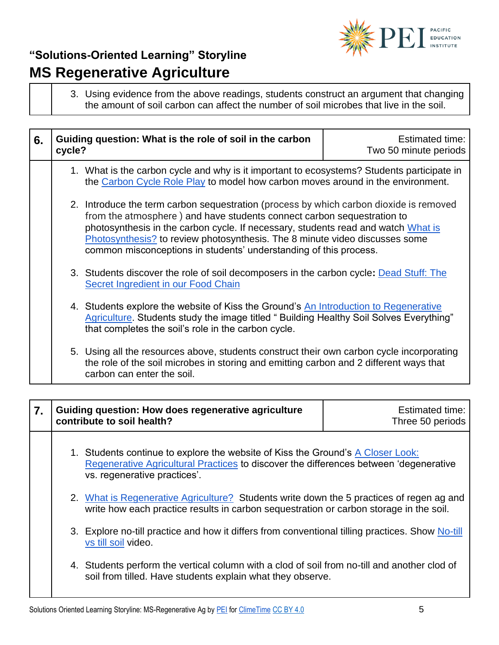

3. Using evidence from the above readings, students construct an argument that changing the amount of soil carbon can affect the number of soil microbes that live in the soil.

| 6. | Guiding question: What is the role of soil in the carbon<br>cycle?                                                                                                                                                                                                                                                                                                                                        | Estimated time:<br>Two 50 minute periods |
|----|-----------------------------------------------------------------------------------------------------------------------------------------------------------------------------------------------------------------------------------------------------------------------------------------------------------------------------------------------------------------------------------------------------------|------------------------------------------|
|    | 1. What is the carbon cycle and why is it important to ecosystems? Students participate in<br>the Carbon Cycle Role Play to model how carbon moves around in the environment.                                                                                                                                                                                                                             |                                          |
|    | 2. Introduce the term carbon sequestration (process by which carbon dioxide is removed<br>from the atmosphere) and have students connect carbon sequestration to<br>photosynthesis in the carbon cycle. If necessary, students read and watch What is<br>Photosynthesis? to review photosynthesis. The 8 minute video discusses some<br>common misconceptions in students' understanding of this process. |                                          |
|    | 3. Students discover the role of soil decomposers in the carbon cycle: Dead Stuff: The<br>Secret Ingredient in our Food Chain                                                                                                                                                                                                                                                                             |                                          |
|    | 4. Students explore the website of Kiss the Ground's An Introduction to Regenerative<br>Agriculture. Students study the image titled " Building Healthy Soil Solves Everything"<br>that completes the soil's role in the carbon cycle.                                                                                                                                                                    |                                          |
|    | 5. Using all the resources above, students construct their own carbon cycle incorporating<br>the role of the soil microbes in storing and emitting carbon and 2 different ways that<br>carbon can enter the soil.                                                                                                                                                                                         |                                          |

| 7. |                                                                                                                                                                                    | Guiding question: How does regenerative agriculture<br>contribute to soil health?                                                                                                                        | <b>Estimated time:</b><br>Three 50 periods |
|----|------------------------------------------------------------------------------------------------------------------------------------------------------------------------------------|----------------------------------------------------------------------------------------------------------------------------------------------------------------------------------------------------------|--------------------------------------------|
|    |                                                                                                                                                                                    | 1. Students continue to explore the website of Kiss the Ground's A Closer Look:<br>Regenerative Agricultural Practices to discover the differences between 'degenerative<br>vs. regenerative practices'. |                                            |
|    | 2. What is Regenerative Agriculture? Students write down the 5 practices of regen ag and<br>write how each practice results in carbon sequestration or carbon storage in the soil. |                                                                                                                                                                                                          |                                            |
|    | 3. Explore no-till practice and how it differs from conventional tilling practices. Show No-till<br>vs till soil video.                                                            |                                                                                                                                                                                                          |                                            |
|    |                                                                                                                                                                                    | 4. Students perform the vertical column with a clod of soil from no-till and another clod of<br>soil from tilled. Have students explain what they observe.                                               |                                            |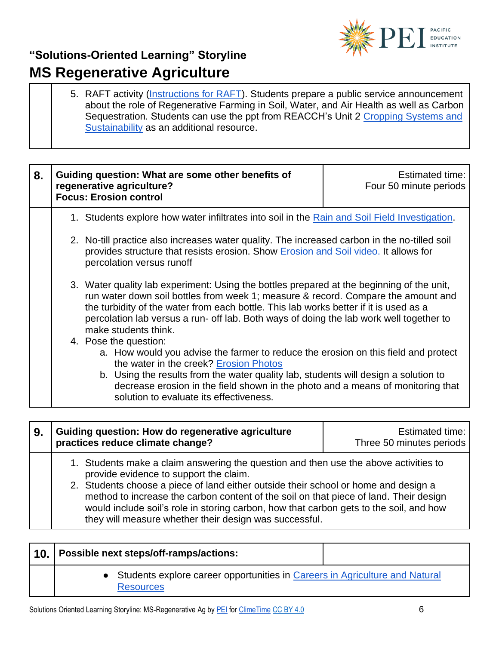

5. RAFT activity [\(Instructions for RAFT\)](https://k12teacherstaffdevelopment.com/tlb/how-to-use-the-raft-strategy-in-the-classroom-to-develop-reading-and-writing-skills/). Students prepare a public service announcement about the role of Regenerative Farming in Soil, Water, and Air Health as well as Carbon Sequestration*.* Students can use the ppt from REACCH's Unit 2 [Cropping Systems and](https://www.reacchpna.org/education/unit-2-cropping-systems-sustainability)  [Sustainability](https://www.reacchpna.org/education/unit-2-cropping-systems-sustainability) as an additional resource.

| 8. |                                                                                                                                                                                                                                                                                                                                                                                            | Guiding question: What are some other benefits of<br>regenerative agriculture?<br><b>Focus: Erosion control</b>                                                                                                                                                                                                                                                            | Estimated time:<br>Four 50 minute periods |
|----|--------------------------------------------------------------------------------------------------------------------------------------------------------------------------------------------------------------------------------------------------------------------------------------------------------------------------------------------------------------------------------------------|----------------------------------------------------------------------------------------------------------------------------------------------------------------------------------------------------------------------------------------------------------------------------------------------------------------------------------------------------------------------------|-------------------------------------------|
|    |                                                                                                                                                                                                                                                                                                                                                                                            | 1. Students explore how water infiltrates into soil in the Rain and Soil Field Investigation.                                                                                                                                                                                                                                                                              |                                           |
|    |                                                                                                                                                                                                                                                                                                                                                                                            | 2. No-till practice also increases water quality. The increased carbon in the no-tilled soil<br>provides structure that resists erosion. Show <i>Erosion and Soil video</i> . It allows for<br>percolation versus runoff                                                                                                                                                   |                                           |
|    | 3. Water quality lab experiment: Using the bottles prepared at the beginning of the unit,<br>run water down soil bottles from week 1; measure & record. Compare the amount and<br>the turbidity of the water from each bottle. This lab works better if it is used as a<br>percolation lab versus a run- off lab. Both ways of doing the lab work well together to<br>make students think. |                                                                                                                                                                                                                                                                                                                                                                            |                                           |
|    |                                                                                                                                                                                                                                                                                                                                                                                            | 4. Pose the question:<br>a. How would you advise the farmer to reduce the erosion on this field and protect<br>the water in the creek? Erosion Photos<br>b. Using the results from the water quality lab, students will design a solution to<br>decrease erosion in the field shown in the photo and a means of monitoring that<br>solution to evaluate its effectiveness. |                                           |

| 9. | <b>Guiding question: How do regenerative agriculture</b><br>practices reduce climate change?                                                                                                                                                                                                                                                                                                                                                                       | Estimated time:<br>Three 50 minutes periods |
|----|--------------------------------------------------------------------------------------------------------------------------------------------------------------------------------------------------------------------------------------------------------------------------------------------------------------------------------------------------------------------------------------------------------------------------------------------------------------------|---------------------------------------------|
|    | 1. Students make a claim answering the question and then use the above activities to<br>provide evidence to support the claim.<br>2. Students choose a piece of land either outside their school or home and design a<br>method to increase the carbon content of the soil on that piece of land. Their design<br>would include soil's role in storing carbon, how that carbon gets to the soil, and how<br>they will measure whether their design was successful. |                                             |

| 10. | Possible next steps/off-ramps/actions:                                                            |  |
|-----|---------------------------------------------------------------------------------------------------|--|
|     | • Students explore career opportunities in Careers in Agriculture and Natural<br><b>Resources</b> |  |